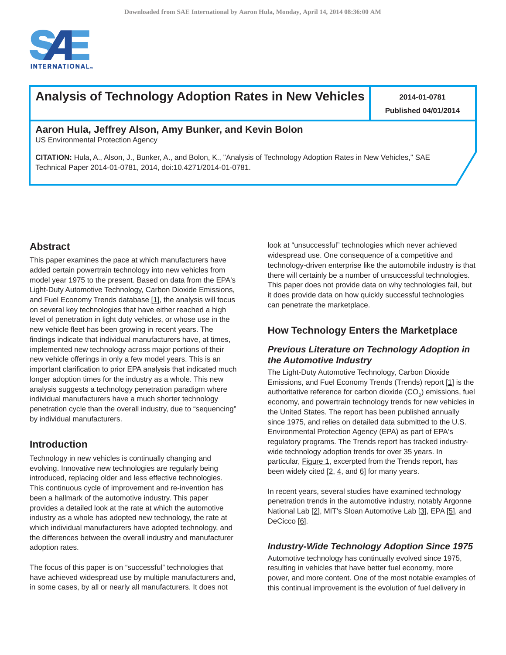

# **Analysis of Technology Adoption Rates in New Vehicles | 2014-01-0781**

**Published 04/01/2014**

**Aaron Hula, Jeffrey Alson, Amy Bunker, and Kevin Bolon**

US Environmental Protection Agency

**CITATION:** Hula, A., Alson, J., Bunker, A., and Bolon, K., "Analysis of Technology Adoption Rates in New Vehicles," SAE Technical Paper 2014-01-0781, 2014, doi:10.4271/2014-01-0781.

## **Abstract**

This paper examines the pace at which manufacturers have added certain powertrain technology into new vehicles from model year 1975 to the present. Based on data from the EPA's Light-Duty Automotive Technology, Carbon Dioxide Emissions, and Fuel Economy Trends database [[1\]](#page-5-0), the analysis will focus on several key technologies that have either reached a high level of penetration in light duty vehicles, or whose use in the new vehicle fleet has been growing in recent years. The findings indicate that individual manufacturers have, at times, implemented new technology across major portions of their new vehicle offerings in only a few model years. This is an important clarification to prior EPA analysis that indicated much longer adoption times for the industry as a whole. This new analysis suggests a technology penetration paradigm where individual manufacturers have a much shorter technology penetration cycle than the overall industry, due to "sequencing" by individual manufacturers.

## **Introduction**

Technology in new vehicles is continually changing and evolving. Innovative new technologies are regularly being introduced, replacing older and less effective technologies. This continuous cycle of improvement and re-invention has been a hallmark of the automotive industry. This paper provides a detailed look at the rate at which the automotive industry as a whole has adopted new technology, the rate at which individual manufacturers have adopted technology, and the differences between the overall industry and manufacturer adoption rates.

The focus of this paper is on "successful" technologies that have achieved widespread use by multiple manufacturers and, in some cases, by all or nearly all manufacturers. It does not

look at "unsuccessful" technologies which never achieved widespread use. One consequence of a competitive and technology-driven enterprise like the automobile industry is that there will certainly be a number of unsuccessful technologies. This paper does not provide data on why technologies fail, but it does provide data on how quickly successful technologies can penetrate the marketplace.

## **How Technology Enters the Marketplace**

#### *Previous Literature on Technology Adoption in the Automotive Industry*

The Light-Duty Automotive Technology, Carbon Dioxide Emissions, and Fuel Economy Trends (Trends) report [\[1](#page-5-0)] is the authoritative reference for carbon dioxide  $(CO<sub>2</sub>)$  emissions, fuel economy, and powertrain technology trends for new vehicles in the United States. The report has been published annually since 1975, and relies on detailed data submitted to the U.S. Environmental Protection Agency (EPA) as part of EPA's regulatory programs. The Trends report has tracked industrywide technology adoption trends for over 35 years. In particular, [Figure 1,](#page-1-0) excerpted from the Trends report, has been widely cited [\[2](#page-5-1), [4](#page-5-2), and [6\]](#page-5-3) for many years.

In recent years, several studies have examined technology penetration trends in the automotive industry, notably Argonne National Lab [[2\]](#page-5-1), MIT's Sloan Automotive Lab [[3\]](#page-5-4), EPA [\[5](#page-5-5)], and DeCicco [\[6](#page-5-3)].

#### *Industry-Wide Technology Adoption Since 1975*

Automotive technology has continually evolved since 1975, resulting in vehicles that have better fuel economy, more power, and more content. One of the most notable examples of this continual improvement is the evolution of fuel delivery in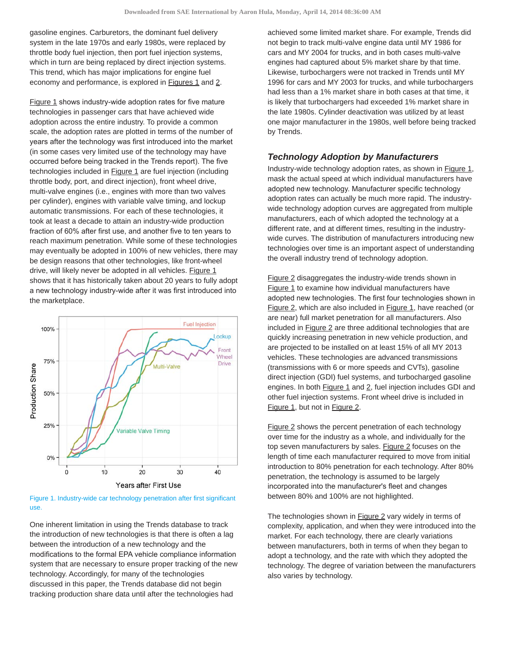gasoline engines. Carburetors, the dominant fuel delivery system in the late 1970s and early 1980s, were replaced by throttle body fuel injection, then port fuel injection systems, which in turn are being replaced by direct injection systems. This trend, which has major implications for engine fuel economy and performance, is explored in **[Figures 1](#page-1-0)** and [2](#page-2-0).

[Figure 1](#page-1-0) shows industry-wide adoption rates for five mature technologies in passenger cars that have achieved wide adoption across the entire industry. To provide a common scale, the adoption rates are plotted in terms of the number of years after the technology was first introduced into the market (in some cases very limited use of the technology may have occurred before being tracked in the Trends report). The five technologies included in [Figure 1](#page-1-0) are fuel injection (including throttle body, port, and direct injection), front wheel drive, multi-valve engines (i.e., engines with more than two valves per cylinder), engines with variable valve timing, and lockup automatic transmissions. For each of these technologies, it took at least a decade to attain an industry-wide production fraction of 60% after first use, and another five to ten years to reach maximum penetration. While some of these technologies may eventually be adopted in 100% of new vehicles, there may be design reasons that other technologies, like front-wheel drive, will likely never be adopted in all vehicles. [Figure 1](#page-1-0) shows that it has historically taken about 20 years to fully adopt a new technology industry-wide after it was first introduced into the marketplace.



<span id="page-1-0"></span>Figure 1. Industry-wide car technology penetration after first significant use.

One inherent limitation in using the Trends database to track the introduction of new technologies is that there is often a lag between the introduction of a new technology and the modifications to the formal EPA vehicle compliance information system that are necessary to ensure proper tracking of the new technology. Accordingly, for many of the technologies discussed in this paper, the Trends database did not begin tracking production share data until after the technologies had

achieved some limited market share. For example, Trends did not begin to track multi-valve engine data until MY 1986 for cars and MY 2004 for trucks, and in both cases multi-valve engines had captured about 5% market share by that time. Likewise, turbochargers were not tracked in Trends until MY 1996 for cars and MY 2003 for trucks, and while turbochargers had less than a 1% market share in both cases at that time, it is likely that turbochargers had exceeded 1% market share in the late 1980s. Cylinder deactivation was utilized by at least one major manufacturer in the 1980s, well before being tracked by Trends.

#### *Technology Adoption by Manufacturers*

Industry-wide technology adoption rates, as shown in [Figure 1](#page-1-0), mask the actual speed at which individual manufacturers have adopted new technology. Manufacturer specific technology adoption rates can actually be much more rapid. The industrywide technology adoption curves are aggregated from multiple manufacturers, each of which adopted the technology at a different rate, and at different times, resulting in the industrywide curves. The distribution of manufacturers introducing new technologies over time is an important aspect of understanding the overall industry trend of technology adoption.

[Figure 2](#page-2-0) disaggregates the industry-wide trends shown in [Figure 1](#page-1-0) to examine how individual manufacturers have adopted new technologies. The first four technologies shown in [Figure 2](#page-2-0), which are also included in [Figure 1,](#page-1-0) have reached (or are near) full market penetration for all manufacturers. Also included in [Figure 2](#page-2-0) are three additional technologies that are quickly increasing penetration in new vehicle production, and are projected to be installed on at least 15% of all MY 2013 vehicles. These technologies are advanced transmissions (transmissions with 6 or more speeds and CVTs), gasoline direct injection (GDI) fuel systems, and turbocharged gasoline engines. In both [Figure 1](#page-1-0) and [2,](#page-2-0) fuel injection includes GDI and other fuel injection systems. Front wheel drive is included in [Figure 1](#page-1-0), but not in [Figure 2.](#page-2-0)

[Figure 2](#page-2-0) shows the percent penetration of each technology over time for the industry as a whole, and individually for the top seven manufacturers by sales. [Figure 2](#page-2-0) focuses on the length of time each manufacturer required to move from initial introduction to 80% penetration for each technology. After 80% penetration, the technology is assumed to be largely incorporated into the manufacturer's fleet and changes between 80% and 100% are not highlighted.

The technologies shown in [Figure 2](#page-2-0) vary widely in terms of complexity, application, and when they were introduced into the market. For each technology, there are clearly variations between manufacturers, both in terms of when they began to adopt a technology, and the rate with which they adopted the technology. The degree of variation between the manufacturers also varies by technology.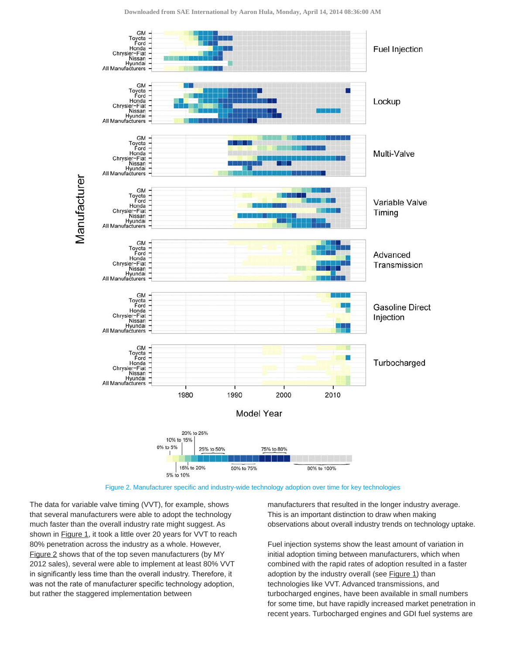

<span id="page-2-0"></span>Figure 2. Manufacturer specific and industry-wide technology adoption over time for key technologies

The data for variable valve timing (VVT), for example, shows that several manufacturers were able to adopt the technology much faster than the overall industry rate might suggest. As shown in **Figure 1**, it took a little over 20 years for VVT to reach 80% penetration across the industry as a whole. However, [Figure 2](#page-2-0) shows that of the top seven manufacturers (by MY 2012 sales), several were able to implement at least 80% VVT in significantly less time than the overall industry. Therefore, it was not the rate of manufacturer specific technology adoption, but rather the staggered implementation between

manufacturers that resulted in the longer industry average. This is an important distinction to draw when making observations about overall industry trends on technology uptake.

Fuel injection systems show the least amount of variation in initial adoption timing between manufacturers, which when combined with the rapid rates of adoption resulted in a faster adoption by the industry overall (see [Figure 1](#page-1-0)) than technologies like VVT. Advanced transmissions, and turbocharged engines, have been available in small numbers for some time, but have rapidly increased market penetration in recent years. Turbocharged engines and GDI fuel systems are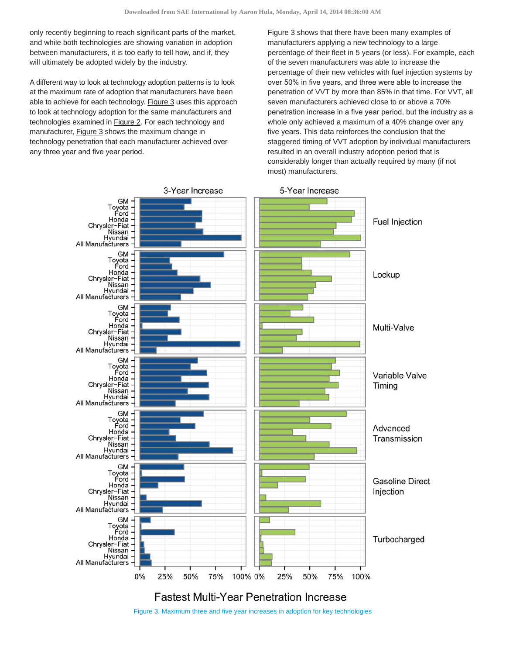only recently beginning to reach significant parts of the market, and while both technologies are showing variation in adoption between manufacturers, it is too early to tell how, and if, they will ultimately be adopted widely by the industry.

A different way to look at technology adoption patterns is to look at the maximum rate of adoption that manufacturers have been able to achieve for each technology. [Figure 3](#page-3-0) uses this approach to look at technology adoption for the same manufacturers and technologies examined in [Figure 2](#page-2-0). For each technology and manufacturer, [Figure 3](#page-3-0) shows the maximum change in technology penetration that each manufacturer achieved over any three year and five year period.

[Figure 3](#page-3-0) shows that there have been many examples of manufacturers applying a new technology to a large percentage of their fleet in 5 years (or less). For example, each of the seven manufacturers was able to increase the percentage of their new vehicles with fuel injection systems by over 50% in five years, and three were able to increase the penetration of VVT by more than 85% in that time. For VVT, all seven manufacturers achieved close to or above a 70% penetration increase in a five year period, but the industry as a whole only achieved a maximum of a 40% change over any five years. This data reinforces the conclusion that the staggered timing of VVT adoption by individual manufacturers resulted in an overall industry adoption period that is considerably longer than actually required by many (if not most) manufacturers.



## **Fastest Multi-Year Penetration Increase**

<span id="page-3-0"></span>Figure 3. Maximum three and five year increases in adoption for key technologies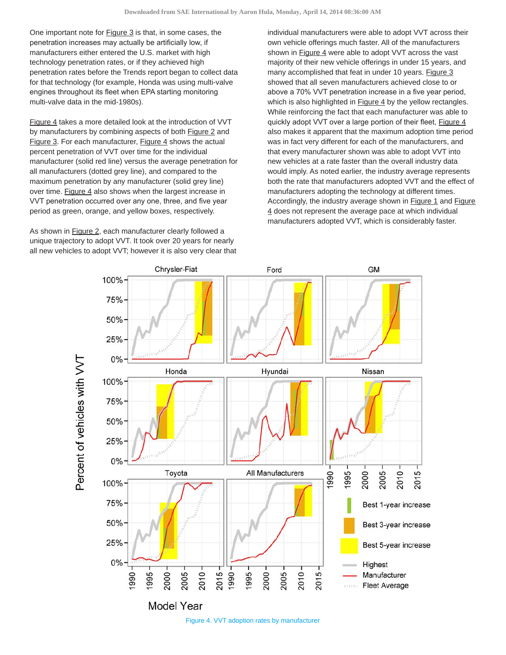One important note for  $Figure 3$  is that, in some cases, the penetration increases may actually be artificially low, if manufacturers either entered the U.S. market with high technology penetration rates, or if they achieved high penetration rates before the Trends report began to collect data for that technology (for example, Honda was using multi-valve engines throughout its fleet when EPA starting monitoring multi-valve data in the mid-1980s).

[Figure 4](#page-4-0) takes a more detailed look at the introduction of VVT by manufacturers by combining aspects of both [Figure 2](#page-2-0) and [Figure 3](#page-3-0). For each manufacturer, [Figure 4](#page-4-0) shows the actual percent penetration of VVT over time for the individual manufacturer (solid red line) versus the average penetration for all manufacturers (dotted grey line), and compared to the maximum penetration by any manufacturer (solid grey line) over time. [Figure 4](#page-4-0) also shows when the largest increase in VVT penetration occurred over any one, three, and five year period as green, orange, and yellow boxes, respectively.

As shown in **Figure 2**, each manufacturer clearly followed a unique trajectory to adopt VVT. It took over 20 years for nearly all new vehicles to adopt VVT; however it is also very clear that

individual manufacturers were able to adopt VVT across their own vehicle offerings much faster. All of the manufacturers shown in [Figure 4](#page-4-0) were able to adopt VVT across the vast majority of their new vehicle offerings in under 15 years, and many accomplished that feat in under 10 years. [Figure 3](#page-3-0) showed that all seven manufacturers achieved close to or above a 70% VVT penetration increase in a five year period, which is also highlighted in **Figure 4** by the yellow rectangles. While reinforcing the fact that each manufacturer was able to quickly adopt VVT over a large portion of their fleet, [Figure 4](#page-4-0) also makes it apparent that the maximum adoption time period was in fact very different for each of the manufacturers, and that every manufacturer shown was able to adopt VVT into new vehicles at a rate faster than the overall industry data would imply. As noted earlier, the industry average represents both the rate that manufacturers adopted VVT and the effect of manufacturers adopting the technology at different times. Accordingly, the industry average shown in [Figure 1](#page-1-0) and Figure [4](#page-4-0) does not represent the average pace at which individual manufacturers adopted VVT, which is considerably faster.



<span id="page-4-0"></span>Figure 4. VVT adoption rates by manufacturer